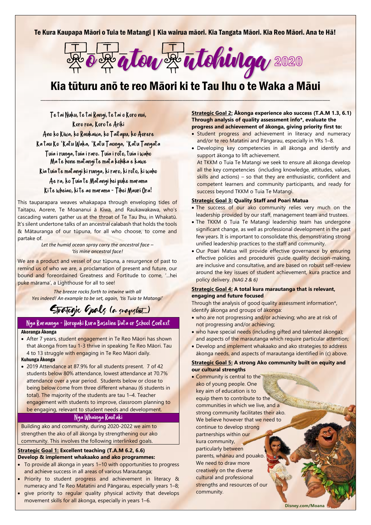## Te Kura Kaupapa Māori o Tuia te Matangi | Kia wairua māori. Kia Tangata Māori. Kia Reo Māori. Ana te Hā!



# Kia tūturu anō te reo Māori ki te Tau Ihu o te Waka a Māui  $\mathcal{L}_\mathcal{A} = \{ \mathcal{L}_\mathcal{A}, \mathcal{L}_\mathcal{A}, \mathcal{L}_\mathcal{A}, \mathcal{L}_\mathcal{A}, \mathcal{L}_\mathcal{A}, \mathcal{L}_\mathcal{A}, \mathcal{L}_\mathcal{A}, \mathcal{L}_\mathcal{A}, \mathcal{L}_\mathcal{A}, \mathcal{L}_\mathcal{A}, \mathcal{L}_\mathcal{A}, \mathcal{L}_\mathcal{A}, \mathcal{L}_\mathcal{A}, \mathcal{L}_\mathcal{A}, \mathcal{L}_\mathcal{A}, \mathcal{L}_\mathcal{A}, \mathcal{L}_\mathcal{A}, \$

Te tai Nuku, te tai Rangi, te tai o Koro nui, Koro roa, Koro te Ariki

Ano ko Kiwa, ko Raukawa, ko Taitapu, ko Aorere

Ka tau Ko 'Katu Waka, 'Katu Taonga, 'Katu Tangata

Tuia i runga, tuia i raro. Tuia i roto, tuia i waho Ma te hone matangi te mata kohika e kawe

Kia tuia te matangi ki runga, ki raro, ki roto, ki waho

Ae ra, ko Tuia te Matangi hei puke marama Ki te wheiao, ki te ao marama - Tihei Mauri Ora!

This tauparapara weaves whakapapa through enveloping tides of Taitapu, Aorere, Te Moananui ā Kiwa, and Raukawakawa, who's cascading waters gather us at the throat of Te Tau Ihu, in Whakatū. It's silent undertone talks of an ancestral calabash that holds the tools & Mātauranga of our tūpuna, for all who choose, to come and partake of.

> *Let the humid ocean spray carry the ancestral face – 'tis mine ancestral face!*

We are a product and vessel of our tūpuna, a resurgence of past to remind us of who we are, a proclamation of present and future, our bound and foreordained Greatness and Fortitude to come, '...hei puke mārama', a Lighthouse for all to see!

*The breeze rocks forth to intwine with all Yes indeed! An example to be set, again, 'tis Tuia te Matangi'*

# Strategic Goals (a snapshot...)

### Nga Raraunga - Horopaki Kura Baseline Data or School Context Akoranga Ākonga

- After 7 years, student engagement in Te Reo Māori has shown that ākonga from tau 1-3 thrive in speaking Te Reo Māori. Tau 4 to 13 struggle with engaging in Te Reo Māori daily.
- Kuhunga Ākonga
- 2019 Attendance at 87.9% for all students present. 7 of 42 students below 80% attendance, lowest attendance at 70.7% attendance over a year period. Students below or close to being below come from three different whanau (6 students in total). The majority of the students are tau 1–4. Teacher engagement with students to improve, classroom planning to be engaging, relevant to student needs and development.

## Nga Whainga Rautaki

Building ako and community, during 2020-2022 we aim to strengthen the ako of all ākonga by strengthening our ako community. This involves the following interlinked goals.

#### **Strategic Goal 1: Excellent teaching (T.A.M 6.2, 6.6) Develop & implement whakaako and ako programmes:**

- To provide all ākonga in years 1–10 with opportunities to progress and achieve success in all areas of various Marautanga;
- Priority to student progress and achievement in literacy & numeracy and Te Reo Matatini and Pāngarau, especially years 1–8;
- give priority to regular quality physical activity that develops movement skills for all ākonga, especially in years 1–6.

**Strategic Goal 2: Ākonga experience ako success (T.A.M 1.3, 6.1) Through analysis of quality assessment info\*, evaluate the progress and achievement of ākonga, giving priority first to:**

- Student progress and achievement in literacy and numeracy and/or te reo Matatini and Pāngarau, especially in YRs 1–8.
- Developing key competencies in all ākonga and identify and support ākonga to lift achievement.

At TKKM o Tuia Te Matangi we seek to ensure all ākonga develop all the key competencies (including knowledge, attitudes, values, skills and actions) – so that they are enthusiastic, confident and competent learners and community participants, and ready for success beyond TKKM o Tuia Te Matangi.

#### **Strategic Goal 3: Quality Staff and Poari Matua**

- The success of our ako community relies very much on the leadership provided by our staff, management team and trustees.
- The TKKM ō Tuia Te Matangi leadership team has undergone significant change, as well as professional development in the past few years. It is important to consolidate this, demonstrating strong unified leadership practices to the staff and community.
- Our Poari Matua will provide effective governance by ensuring effective policies and procedures guide quality decision-making, are inclusive and consultative, and are based on robust self-review around the key issues of student achievement, kura practice and policy delivery. *(NAG 2 & 6)*

#### **Strategic Goal 4: A total kura marautanga that is relevant, engaging and future focused**

Through the analysis of good quality assessment information\*, identify ākonga and groups of ākonga:

- who are not progressing and/or achieving; who are at risk of not progressing and/or achieving;
- who have special needs (including gifted and talented ākonga); and aspects of the marautanga which require particular attention;
- Develop and implement whakaako and ako strategies to address ākonga needs, and aspects of marautanga identified in (c) above.

#### **Strategic Goal 5: A strong Ako community built on equity and our cultural strengths**

• Community is central to the ako of young people. One key aim of education is to equip them to contribute to the communities in which we live, and a strong community facilitates their ako. We believe however that we need to continue to develop strong partnerships within our kura community, particularly between parents, whānau and pouako. We need to draw more creatively on the diverse cultural and professional strengths and resources of our community.